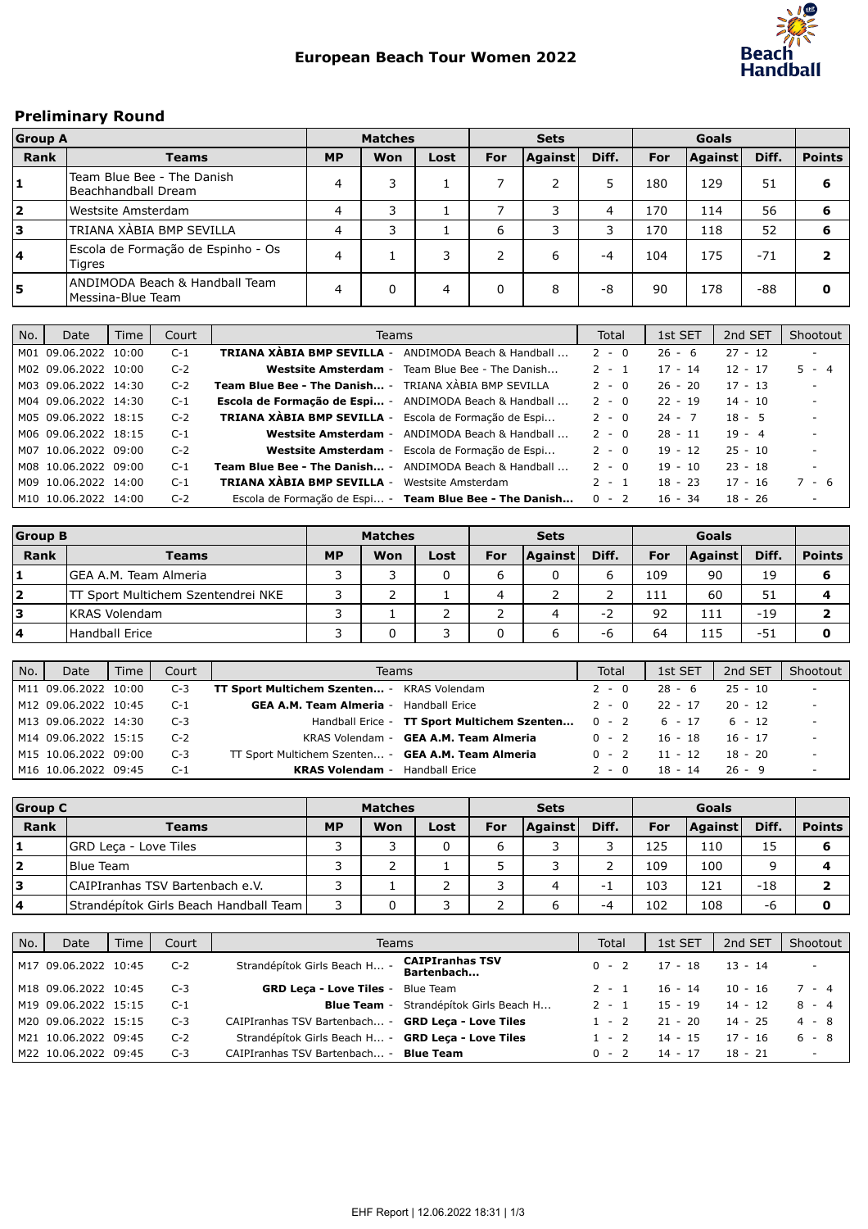

# Preliminary Round

| <b>Group A</b> |                                                     |           | <b>Matches</b> |      |            | <b>Sets</b>    |       |     |                |       |               |
|----------------|-----------------------------------------------------|-----------|----------------|------|------------|----------------|-------|-----|----------------|-------|---------------|
| Rank           | <b>Teams</b>                                        | <b>MP</b> | Won            | Lost | <b>For</b> | <b>Against</b> | Diff. | For | <b>Against</b> | Diff. | <b>Points</b> |
| $\mathbf{1}$   | Team Blue Bee - The Danish<br>Beachhandball Dream   |           | 3              |      |            |                |       | 180 | 129            | 51    | 6             |
| 2              | Westsite Amsterdam                                  | 4         | 3              |      |            | 3              | 4     | 170 | 114            | 56    |               |
| 1з             | TRIANA XÀBIA BMP SEVILLA                            | 4         | 3              |      | 6          | 3              |       | 170 | 118            | 52    |               |
| 14             | Escola de Formação de Espinho - Os<br><b>Tigres</b> |           |                |      |            | 6              | -4    | 104 | 175            | $-71$ |               |
| 15             | ANDIMODA Beach & Handball Team<br>Messina-Blue Team |           | 0              | 4    | 0          | 8              | -8    | 90  | 178            | -88   |               |

| No. | Date                             | Time | Court | <b>Teams</b>                                                  | Total   | 1st SET   | 2nd SET   | Shootout                 |
|-----|----------------------------------|------|-------|---------------------------------------------------------------|---------|-----------|-----------|--------------------------|
|     | M01 09.06.2022 10:00             |      | $C-1$ | <b>TRIANA XÀBIA BMP SEVILLA</b> - ANDIMODA Beach & Handball   | $2 - 0$ | $26 - 6$  | $27 - 12$ |                          |
|     | M02 09.06.2022 10:00             |      | $C-2$ | <b>Westsite Amsterdam</b> - Team Blue Bee - The Danish        | $2 - 1$ | 17 - 14   | $12 - 17$ | $5 - 4$                  |
|     | M03 09.06.2022 14:30             |      | $C-2$ | Team Blue Bee - The Danish - TRIANA XABIA BMP SEVILLA         | $2 - 0$ | 26 - 20   | $17 - 13$ | $\sim$                   |
|     | M04 09.06.2022 14:30             |      | $C-1$ | <b>Escola de Formação de Espi</b> - ANDIMODA Beach & Handball | $2 - 0$ | $22 - 19$ | $14 - 10$ | $\overline{\phantom{0}}$ |
|     | M05 09.06.2022 18:15             |      | $C-2$ | <b>TRIANA XÀBIA BMP SEVILLA</b> - Escola de Formação de Espi  | $2 - 0$ | $24 - 7$  | $18 - 5$  | $\overline{\phantom{a}}$ |
|     | M06 09.06.2022 18:15             |      | $C-1$ | <b>Westsite Amsterdam -</b> ANDIMODA Beach & Handball         | $2 - 0$ | $28 - 11$ | $19 - 4$  | ۰                        |
|     | M07 10.06.2022 09:00             |      | $C-2$ | Westsite Amsterdam - Escola de Formação de Espi               | $2 - 0$ | $19 - 12$ | $25 - 10$ | $\overline{\phantom{a}}$ |
|     | M08 10.06.2022 09:00             |      | $C-1$ | <b>Team Blue Bee - The Danish</b> - ANDIMODA Beach & Handball | $2 - 0$ | $19 - 10$ | $23 - 18$ | $\overline{\phantom{a}}$ |
|     | M09 10.06.2022 14:00             |      | $C-1$ | <b>TRIANA XABIA BMP SEVILLA -</b> Westsite Amsterdam          | $2 - 1$ | $18 - 23$ | $17 - 16$ | 7 - 6                    |
|     | M <sub>10</sub> 10.06.2022 14:00 |      | $C-2$ | Escola de Formação de Espi - Team Blue Bee - The Danish       | $0 - 2$ | $16 - 34$ | $18 - 26$ | $\overline{\phantom{a}}$ |

| <b>Group B</b> |                                    | <b>Matches</b> |     |      |     | <b>Sets</b>    |       |     |                |       |               |
|----------------|------------------------------------|----------------|-----|------|-----|----------------|-------|-----|----------------|-------|---------------|
| Rank           | Teams                              | <b>MP</b>      | Won | Lost | For | <b>Against</b> | Diff. | For | <b>Against</b> | Diff. | <b>Points</b> |
|                | lGEA A.M. Team Almeria             |                |     | 0    | ь   |                |       | 109 | 90             | 19    |               |
| 2              | TT Sport Multichem Szentendrei NKE |                |     |      | 4   |                |       | 111 | 60             | 51    |               |
| Ι3             | <b>KRAS Volendam</b>               |                |     |      |     | 4              | - 4   | 92  | 111            | $-19$ |               |
| 4              | Handball Erice                     |                |     |      |     | ь              | -h    | 64  | 115            | -51   |               |

| No. | Date                 | Time | Court | Teams                                              | Total   | 1st SET         | 2nd SET   | Shootout                 |
|-----|----------------------|------|-------|----------------------------------------------------|---------|-----------------|-----------|--------------------------|
|     | M11 09.06.2022 10:00 |      | $C-3$ | <b>TT Sport Multichem Szenten</b> - KRAS Volendam  | $2 - 0$ | 28 - 6          | $25 - 10$ | $\sim$ $-$               |
|     | M12 09.06.2022 10:45 |      | $C-1$ | <b>GEA A.M. Team Almeria - Handball Erice</b>      | $2 - 0$ | $22 - 17$       | $20 - 12$ | $\sim$                   |
|     | M13 09.06.2022 14:30 |      | $C-3$ | Handball Erice - TT Sport Multichem Szenten        | $0 - 2$ | 6 - 17          | $6 - 12$  | $\sim$                   |
|     | M14 09.06.2022 15:15 |      | $C-2$ | KRAS Volendam - <b>GEA A.M. Team Almeria</b>       |         | $0 - 2$ 16 - 18 | 16 - 17   | $\sim$                   |
|     | M15 10.06.2022 09:00 |      | $C-3$ | TT Sport Multichem Szenten - GEA A.M. Team Almeria | $0 - 2$ | 11 - 12         | $18 - 20$ | $\sim$                   |
|     | M16 10.06.2022 09:45 |      | C-1   | <b>KRAS Volendam - Handball Erice</b>              | $2 - 0$ | 18 - 14         | $26 - 9$  | $\overline{\phantom{a}}$ |

| <b>Group C</b> |                                        | <b>Matches</b> |     |      |     | <b>Sets</b>    |       |     |                |       |               |
|----------------|----------------------------------------|----------------|-----|------|-----|----------------|-------|-----|----------------|-------|---------------|
| Rank           | Teams                                  | <b>MP</b>      | Won | Lost | For | <b>Against</b> | Diff. | For | <b>Against</b> | Diff. | <b>Points</b> |
|                | <b>GRD Leca - Love Tiles</b>           |                |     |      | ь   |                |       | 125 | 110            | 15    |               |
| 12             | <b>Blue Team</b>                       |                |     |      |     |                |       | 109 | 100            | a     |               |
| 3              | CAIPIranhas TSV Bartenbach e.V.        |                |     |      |     | 4              | -     | 103 | 121            | $-18$ |               |
| 4              | Strandépítok Girls Beach Handball Team |                |     |      |     |                | -4    | 102 | 108            | -6    |               |

| No. | Date                 | Time | Court | Teams                                              |                                        | Total   | 1st SET             | 2nd SET   | Shootout |
|-----|----------------------|------|-------|----------------------------------------------------|----------------------------------------|---------|---------------------|-----------|----------|
|     | M17 09.06.2022 10:45 |      | $C-2$ | Strandépítok Girls Beach H -                       | <b>CAIPIranhas TSV</b><br>Bartenbach   | $0 - 2$ | $17 - 18$ $13 - 14$ |           | $\sim$   |
|     | M18 09.06.2022 10:45 |      | $C-3$ | <b>GRD Leca - Love Tiles - Blue Team</b>           |                                        | $2 - 1$ | 16 - 14             | 10 - 16   | 7 - 4    |
|     | M19 09.06.2022 15:15 |      | $C-1$ |                                                    | Blue Team - Strandépítok Girls Beach H | $2 - 1$ | $15 - 19$           | 14 - 12   | $8 - 4$  |
|     | M20 09.06.2022 15:15 |      | $C-3$ | CAIPIranhas TSV Bartenbach - GRD Leca - Love Tiles |                                        | $1 - 2$ | $21 - 20$           | $14 - 25$ | $4 - 8$  |
|     | M21 10.06.2022 09:45 |      | $C-2$ | Strandépítok Girls Beach H - GRD Leca - Love Tiles |                                        | $1 - 2$ | 14 - 15             | $17 - 16$ | $6 - 8$  |
|     | M22 10.06.2022 09:45 |      | $C-3$ | CAIPIranhas TSV Bartenbach - Blue Team             |                                        | $0 - 2$ | 14 - 17             | 18 - 21   | $\sim$   |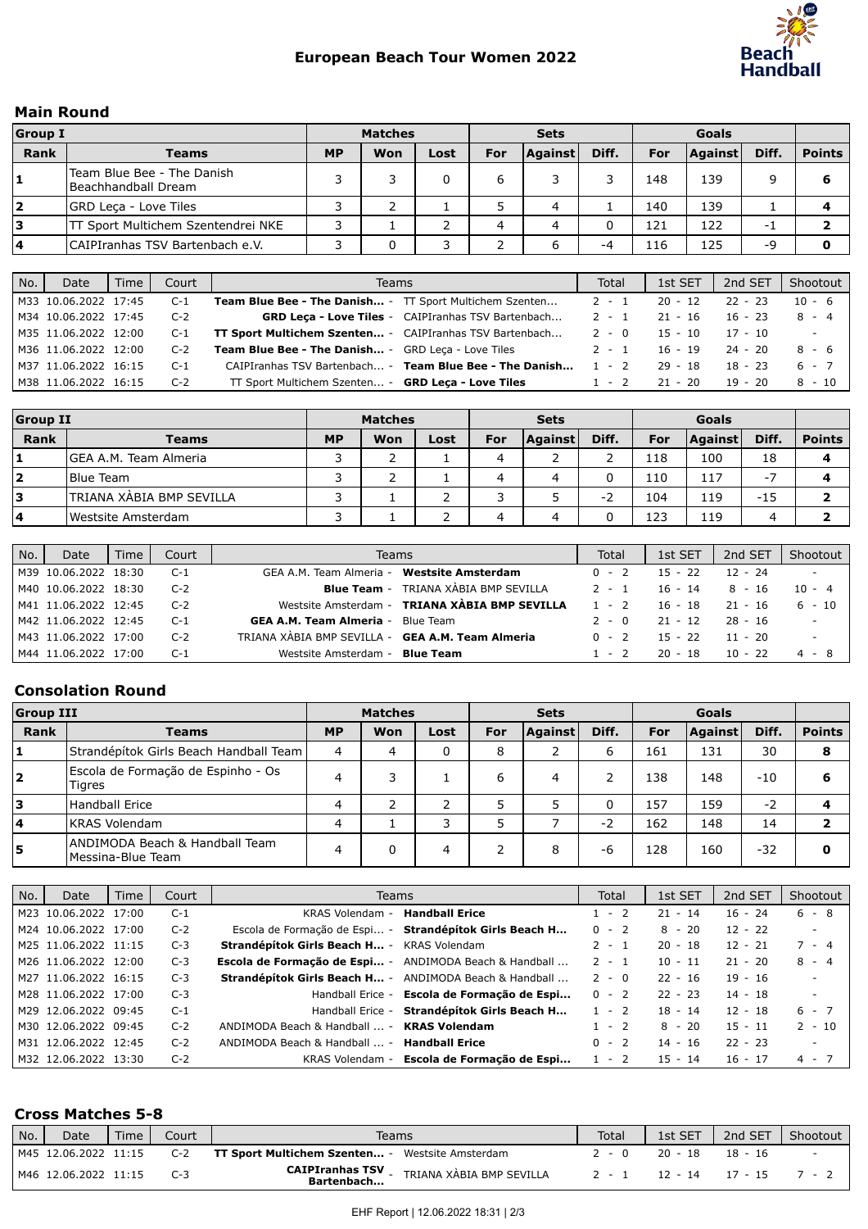

## European Beach Tour Women 2022

### Main Round

| <b>Group I</b> |                                                   | <b>Matches</b> |     |      |     | <b>Sets</b> |       |            |                |       |               |
|----------------|---------------------------------------------------|----------------|-----|------|-----|-------------|-------|------------|----------------|-------|---------------|
| Rank           | <b>Teams</b>                                      | <b>MP</b>      | Won | Lost | For | Against     | Diff. | <b>For</b> | <b>Against</b> | Diff. | <b>Points</b> |
|                | Team Blue Bee - The Danish<br>Beachhandball Dream |                |     |      | ь   |             |       | 148        | 139            | a     |               |
| 2              | GRD Leca - Love Tiles                             |                |     |      |     | 4           |       | 140        | 139            |       |               |
| ι3             | TT Sport Multichem Szentendrei NKE                |                |     |      | ⊿   | 4           |       | 121        | 122            | - 1   |               |
| $\overline{a}$ | ICAIPIranhas TSV Bartenbach e.V.                  |                | U   |      |     | ь           |       | 116        | 125            | -9    |               |

| No. | Date                 | Time | Court | <b>Teams</b>                                                   | Total   | 1st SET   | 2nd SET   | Shootout        |
|-----|----------------------|------|-------|----------------------------------------------------------------|---------|-----------|-----------|-----------------|
|     | M33 10.06.2022 17:45 |      | $C-1$ | Team Blue Bee - The Danish - TT Sport Multichem Szenten        | $2 - 1$ | $20 - 12$ | $22 - 23$ | $10 - 6$        |
|     | M34 10.06.2022 17:45 |      | $C-2$ | <b>GRD Leca - Love Tiles</b> - CAIPIranhas TSV Bartenbach      | $2 - 1$ | 21 - 16   | $16 - 23$ | $8 - 4$         |
|     | M35 11.06.2022 12:00 |      | $C-1$ | <b>TT Sport Multichem Szenten</b> - CAIPIranhas TSV Bartenbach | $2 - 0$ | $15 - 10$ | $17 - 10$ | $\sim$ 10 $\pm$ |
|     | M36 11.06.2022 12:00 |      | $C-2$ | <b>Team Blue Bee - The Danish</b> - GRD Leca - Love Tiles      | $2 - 1$ | $16 - 19$ | $24 - 20$ | $8 - 6$         |
|     | M37 11.06.2022 16:15 |      | $C-1$ | CAIPIranhas TSV Bartenbach - Team Blue Bee - The Danish        | $1 - 2$ | $29 - 18$ | $18 - 23$ | $6 - 7$         |
|     | M38 11.06.2022 16:15 |      | $C-2$ | TT Sport Multichem Szenten - GRD Leca - Love Tiles             | $1 - 2$ | $21 - 20$ | $19 - 20$ | $8 - 10$        |

| <b>Group II</b> |                          | <b>Matches</b> |     |      | <b>Sets</b> |         |       |     |         |       |               |
|-----------------|--------------------------|----------------|-----|------|-------------|---------|-------|-----|---------|-------|---------------|
| Rank            | <b>Teams</b>             | <b>MP</b>      | Won | Lost | For         | Against | Diff. | For | Against | Diff. | <b>Points</b> |
|                 | GEA A.M. Team Almeria    |                |     |      | 4           |         |       | 118 | 100     | 18    |               |
| 2               | <b>Blue Team</b>         |                |     |      | 4           | 4       |       | 110 | 117     | Ξ.    |               |
| Ι3              | TRIANA XABIA BMP SEVILLA |                |     |      |             |         | -z    | 104 | 119     | -15   |               |
| 4               | Westsite Amsterdam       |                |     |      | 4           | 4       |       | 123 | 119     | 4     |               |

| No. | Date                 | Time | Court | Teams                                                   |                                               | <b>Total</b> | 1st SET   | 2nd SET   | Shootout   |
|-----|----------------------|------|-------|---------------------------------------------------------|-----------------------------------------------|--------------|-----------|-----------|------------|
|     | M39 10.06.2022 18:30 |      | C-1   | GEA A.M. Team Almeria - Westsite Amsterdam              |                                               | $0 - 2$      | $15 - 22$ | $12 - 24$ | $\sim$     |
|     | M40 10.06.2022 18:30 |      | $C-2$ |                                                         | <b>Blue Team - TRIANA XABIA BMP SEVILLA</b>   | $2 - 1$      | 16 - 14   | 8 - 16    | $10 - 4$   |
|     | M41 11.06.2022 12:45 |      | $C-2$ |                                                         | Westsite Amsterdam - TRIANA XÀBIA BMP SEVILLA | $1 - 2$      | $16 - 18$ | $21 - 16$ | $6 - 10$   |
|     | M42 11.06.2022 12:45 |      | $C-1$ | <b>GEA A.M. Team Almeria - Blue Team</b>                |                                               | $2 - 0$      | 21 - 12   | 28 - 16   | $\sim 100$ |
|     | M43 11.06.2022 17:00 |      | $C-2$ | TRIANA XÀBIA BMP SEVILLA - <b>GEA A.M. Team Almeria</b> |                                               | $0 - 2$      | 15 - 22   | $11 - 20$ | $\sim$     |
|     | M44 11.06.2022 17:00 |      | C-1   | Westsite Amsterdam - Blue Team                          |                                               | $1 - 2$      | 20 - 18   | $10 - 22$ | 4 - 8      |

### Consolation Round

| <b>Group III</b> |                                                      | <b>Matches</b> |     |      |     | <b>Sets</b>    |       |     |                |       |               |
|------------------|------------------------------------------------------|----------------|-----|------|-----|----------------|-------|-----|----------------|-------|---------------|
| Rank             | Teams                                                | <b>MP</b>      | Won | Lost | For | <b>Against</b> | Diff. | For | <b>Against</b> | Diff. | <b>Points</b> |
| 1                | Strandépítok Girls Beach Handball Team               | 4              | 4   | 0    | 8   | ∠              | 6     | 161 | 131            | 30    | 8             |
| 2                | Escola de Formação de Espinho - Os<br>Tigres         | 4              | 3   |      | 6   | 4              |       | 138 | 148            | $-10$ | 6             |
| 3                | <b>Handball Erice</b>                                | 4              |     |      |     |                |       | 157 | 159            | $-2$  |               |
| 4                | <b>KRAS Volendam</b>                                 | 4              |     |      |     |                | $-2$  | 162 | 148            | 14    |               |
| 5                | IANDIMODA Beach & Handball Team<br>Messina-Blue Team |                |     | 4    |     | 8              | -6    | 128 | 160            | $-32$ | O             |

| No. | Date                 | Time | Court | Teams                                                         |                                                         | Total   | 1st SET   | 2nd SET   | Shootout |
|-----|----------------------|------|-------|---------------------------------------------------------------|---------------------------------------------------------|---------|-----------|-----------|----------|
|     | M23 10.06.2022 17:00 |      | $C-1$ | KRAS Volendam -                                               | <b>Handball Erice</b>                                   | $1 - 2$ | $21 - 14$ | $16 - 24$ | $6 - 8$  |
|     | M24 10.06.2022 17:00 |      | $C-2$ |                                                               | Escola de Formação de Espi - Strandépítok Girls Beach H | $0 - 2$ | $8 - 20$  | $12 - 22$ | $\sim$   |
|     | M25 11.06.2022 11:15 |      | $C-3$ | Strandépítok Girls Beach H - KRAS Volendam                    |                                                         | $2 - 1$ | $20 - 18$ | $12 - 21$ | $7 - 4$  |
|     | M26 11.06.2022 12:00 |      | $C-3$ | Escola de Formação de Espi - ANDIMODA Beach & Handball        |                                                         | $2 - 1$ | $10 - 11$ | $21 - 20$ | $8 - 4$  |
|     | M27 11.06.2022 16:15 |      | $C-3$ | <b>Strandépítok Girls Beach H</b> - ANDIMODA Beach & Handball |                                                         | $2 - 0$ | $22 - 16$ | $19 - 16$ | $\sim$   |
|     | M28 11.06.2022 17:00 |      | $C-3$ | Handball Erice -                                              | Escola de Formação de Espi                              | $0 - 2$ | $22 - 23$ | $14 - 18$ | $\sim$   |
|     | M29 12.06.2022 09:45 |      | $C-1$ | Handball Erice -                                              | Strandépítok Girls Beach H                              | $1 - 2$ | $18 - 14$ | $12 - 18$ | $6 - 7$  |
|     | M30 12.06.2022 09:45 |      | $C-2$ | ANDIMODA Beach & Handball  -                                  | <b>KRAS Volendam</b>                                    | $1 - 2$ | $8 - 20$  | $15 - 11$ | $2 - 10$ |
|     | M31 12.06.2022 12:45 |      | $C-2$ | ANDIMODA Beach & Handball  -                                  | <b>Handball Erice</b>                                   | $0 - 2$ | $14 - 16$ | $22 - 23$ | $\sim$   |
|     | M32 12.06.2022 13:30 |      | $C-2$ |                                                               | KRAS Volendam - Escola de Formação de Espi              | $-2$    | $15 - 14$ | $16 - 17$ | $4 - 7$  |

## Cross Matches 5-8

| No. | Date                 | Time | Court | Teams                                                                    | Total   | 1st SET         | 2nd SET | Shootout |
|-----|----------------------|------|-------|--------------------------------------------------------------------------|---------|-----------------|---------|----------|
|     |                      |      |       | M45 12.06.2022 11:15 C-2 TT Sport Multichem Szenten - Westsite Amsterdam | 2 - 0   | 20 - 18         | 18 - 16 |          |
|     | M46 12.06.2022 11:15 |      |       | <b>CAIPIranhas TSV</b><br>TRIANA XÀBIA BMP SEVILLA<br>Bartenbach         | $2 - 1$ | 12 - 14 17 - 15 |         | 7 - 2    |